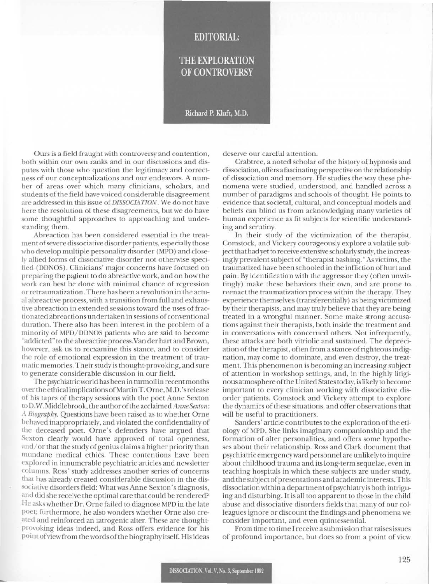## **EDITORIAL:**

## **THE EXPLORATION OF CONTROVERSY**

Richard P. Kluft, M.D.

Ours is a field fraught with controversy and contention, both within our own ranks and in our discussions and disputes with those who question the legitimacy and correctness of our conceptualizations and our endeavors. A number of areas over which many clinicians, scholars, and students of the field have voiced considerable disagreement are addressed in this issue of DISSOCIATION. We do not have here the resolution of these disagreements, but we do have some thoughtful approaches to approaching and understanding them.

Abreaction has been considered essential in the treatment of severe dissociative disorder patients, especially those who develop multiple personality disorder (MPD) and closely allied forms of dissociative disorder not otherwise specified (DDNOS). Clinicians' major concerns have focused on preparing the patient to do abreactive work, and on how the work can best be done with minimal chance of regression or retraumatization. There has been a revolution in the actual abreactive process, with a transition from full and exhaustive abreaction in extended sessions toward the uses of fractionated abreactions undertaken in sessions of conventional duration. There also has been interest in the problem of a minority of MPD/DDNOS patients who are said to become "addicted" to the abreactive process. Van der hart and Brown, however, ask us to reexamine this stance, and to consider the role of emotional expression in the treatment of traumatic memories. Their study is thought-provoking, and sure to generate considerable discussion in our field.

The psychiatric world has been in turmoil in recent months over the ethical implications of Martin T. Orne, M.D.'s release of his tapes of therapy sessions with the poet Anne Sexton to D.W. Middlebrook, the author of the acclaimed Anne Sexton: A Biography. Questions have been raised as to whether Orne behaved inappropriately, and violated the confidentiality of the deceased poet. Orne's defenders have argued that Sexton clearly would have approved of total openness, and/or that the study of genius claims a higher priority than mundane medical ethics. These contentions have been explored in innumerable psychiatric articles and newsletter columns. Ross' study addresses another series of concerns that has already created considerable discussion in the dissociative disorders field: What was Anne Sexton's diagnosis, and did she receive the optimal care that could be rendered? He asks whether Dr. Orne failed to diagnose MPD in the late poet; furthermore, he also wonders whether Orne also created and reinforced an iatrogenic alter. These are thoughtprovoking ideas indeed, and Ross offers evidence for his point of view from the words of the biography itself. His ideas

deserve our careful attention.

Crabtree, a noted scholar of the history of hypnosis and dissociation, offers a fascinating perspective on the relationship of dissociation and memory. He studies the way these phenomena were studied, understood, and handled across a number of paradigms and schools of thought. He points to evidence that societal, cultural, and conceptual models and beliefs can blind us from acknowledging many varieties of human experience as fit subjects for scientific understanding and scrutiny.

In their study of the victimization of the therapist, Comstock, and Vickery courageously explore a volatile subject that had yet to receive extensive scholarly study, the increasingly prevalent subject of "therapist bashing." As victims, the traumatized have been schooled in the infliction of hurt and pain. By identification with the aggressor they (often unwittingly) make these behaviors their own, and are prone to reenact the traumatization process within the therapy. They experience themselves (transferentially) as being victimized by their therapists, and may truly believe that they are being treated in a wrongful manner. Some make strong accusations against their therapists, both inside the treatment and in conversations with concerned others. Not infrequently, these attacks are both vitriolic and sustained. The depreciation of the therapist, often from a stance of righteous indignation, may come to dominate, and even destroy, the treatment. This phenomenon is becoming an increasing subject of attention in workshop settings, and, in the highly litiginous atmosphere of the United States today, is likely to become important to every clinician working with dissociative disorder patients. Comstock and Vickery attempt to explore the dynamics of these situations, and offer observations that will be useful to practitioners.

Sanders' article contributes to the exploration of the etiology of MPD. She links imaginary companionship and the formation of alter personalities, and offers some hypotheses about their relationship. Ross and Clark document that psychiatric emergency ward personnel are unlikely to inquire about childhood trauma and its long-term sequelae, even in teaching hospitals in which these subjects are under study, and the subject of presentations and academic interests. This dissociation within a department of psychiatry is both intriguing and disturbing. It is all too apparent to those in the child abuse and dissociative disorders fields that many of our colleagues ignore or discount the findings and phenomena we consider important, and even quintessential.

From time to time I receive a submission that raises issues of profound importance, but does so from a point of view